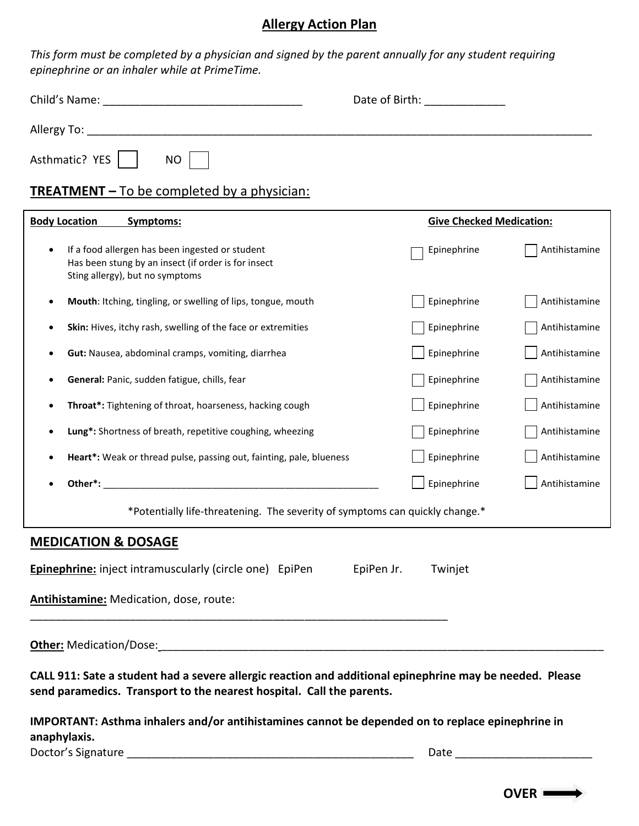## **Allergy Action Plan**

*This form must be completed by a physician and signed by the parent annually for any student requiring epinephrine or an inhaler while at PrimeTime.* 

| epinephinie or un imiuier write ut rimierime.                                                                                                  |                                   |                                 |  |  |
|------------------------------------------------------------------------------------------------------------------------------------------------|-----------------------------------|---------------------------------|--|--|
|                                                                                                                                                | Date of Birth: The Case of Birth: |                                 |  |  |
|                                                                                                                                                |                                   |                                 |  |  |
| Asthmatic? YES<br><b>NO</b>                                                                                                                    |                                   |                                 |  |  |
| <b>TREATMENT</b> – To be completed by a physician:                                                                                             |                                   |                                 |  |  |
| <b>Body Location</b><br>Symptoms:                                                                                                              |                                   | <b>Give Checked Medication:</b> |  |  |
| If a food allergen has been ingested or student<br>٠<br>Has been stung by an insect (if order is for insect<br>Sting allergy), but no symptoms | Epinephrine                       | Antihistamine                   |  |  |
| Mouth: Itching, tingling, or swelling of lips, tongue, mouth<br>٠                                                                              | Epinephrine                       | Antihistamine                   |  |  |
| Skin: Hives, itchy rash, swelling of the face or extremities                                                                                   | Epinephrine                       | Antihistamine                   |  |  |
| Gut: Nausea, abdominal cramps, vomiting, diarrhea                                                                                              | Epinephrine                       | Antihistamine                   |  |  |
| General: Panic, sudden fatigue, chills, fear                                                                                                   | Epinephrine                       | Antihistamine                   |  |  |
| Throat*: Tightening of throat, hoarseness, hacking cough                                                                                       | Epinephrine                       | Antihistamine                   |  |  |
| Lung*: Shortness of breath, repetitive coughing, wheezing                                                                                      | Epinephrine                       | Antihistamine                   |  |  |
| Heart*: Weak or thread pulse, passing out, fainting, pale, blueness                                                                            | Epinephrine                       | Antihistamine                   |  |  |
|                                                                                                                                                | Epinephrine                       | Antihistamine                   |  |  |
| *Potentially life-threatening. The severity of symptoms can quickly change.*                                                                   |                                   |                                 |  |  |
| <b>MEDICATION &amp; DOSAGE</b>                                                                                                                 |                                   |                                 |  |  |
| <b>Epinephrine:</b> inject intramuscularly (circle one) EpiPen<br>EpiPen Jr.<br>Twinjet                                                        |                                   |                                 |  |  |
| Antihistamine: Medication, dose, route:                                                                                                        |                                   |                                 |  |  |
| <b>Other:</b> Medication/Dose:                                                                                                                 |                                   |                                 |  |  |

**CALL 911: Sate a student had a severe allergic reaction and additional epinephrine may be needed. Please send paramedics. Transport to the nearest hospital. Call the parents.** 

**IMPORTANT: Asthma inhalers and/or antihistamines cannot be depended on to replace epinephrine in anaphylaxis.** Doctor's Signature \_\_\_\_\_\_\_\_\_\_\_\_\_\_\_\_\_\_\_\_\_\_\_\_\_\_\_\_\_\_\_\_\_\_\_\_\_\_\_\_\_\_\_\_\_\_ Date \_\_\_\_\_\_\_\_\_\_\_\_\_\_\_\_\_\_\_\_\_\_

**OVER**